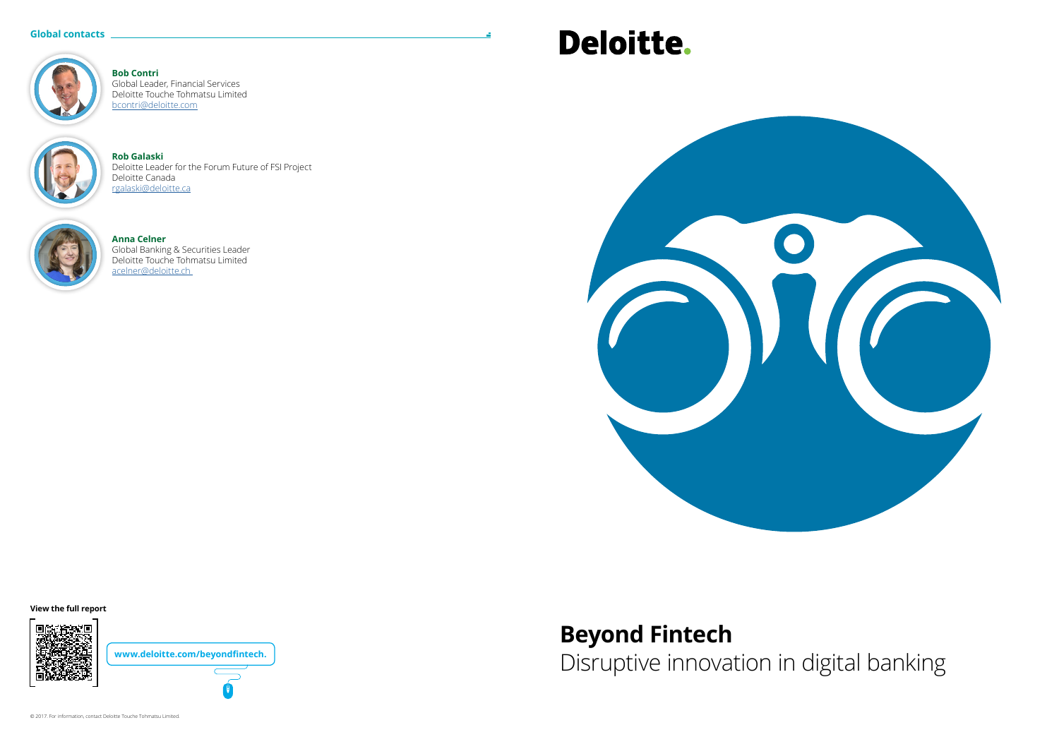### **Beyond Fintech** Disruptive innovation in digital banking

#### **Global contacts**



**Anna Celner** Global Banking & Securities Leader Deloitte Touche Tohmatsu Limited acelner@deloitte.ch

# **Deloitte.**



**Rob Galaski** Deloitte Leader for the Forum Future of FSI Project Deloitte Canada rgalaski@deloitte.ca



**Bob Contri** Global Leader, Financial Services Deloitte Touche Tohmatsu Limited [bcontri@deloitte.com](mailto:bcontri%40deloitte.com?subject=)



**View the full report**



**www.deloitte.com/beyondfintech.**